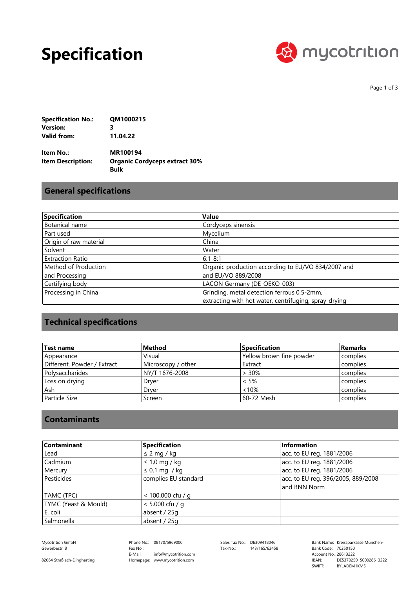## **Specification**



Page 1 of 3

| <b>Specification No.:</b> | QM1000215 |
|---------------------------|-----------|
| Version:                  | 3         |
| Valid from:               | 11.04.22  |

**Bulk Organic Cordyceps extract 30% MR100194 Item Description: Item No.:**

#### **General specifications**

| Specification           | <b>Value</b>                                          |
|-------------------------|-------------------------------------------------------|
| Botanical name          | Cordyceps sinensis                                    |
| Part used               | Mycelium                                              |
| Origin of raw material  | China                                                 |
| Solvent                 | Water                                                 |
| <b>Extraction Ratio</b> | $6:1 - 8:1$                                           |
| Method of Production    | Organic production according to EU/VO 834/2007 and    |
| and Processing          | and EU/VO 889/2008                                    |
| Certifying body         | LACON Germany (DE-OEKO-003)                           |
| Processing in China     | Grinding, metal detection ferrous 0,5-2mm,            |
|                         | extracting with hot water, centrifuging, spray-drying |

## **Technical specifications**

| Test name                   | Method             | <b>Specification</b>     | <b>Remarks</b> |
|-----------------------------|--------------------|--------------------------|----------------|
| Appearance                  | Visual             | Yellow brown fine powder | complies       |
| Different. Powder / Extract | Microscopy / other | Extract                  | complies       |
| l Polysaccharides           | NY/T 1676-2008     | $>30\%$                  | complies       |
| Loss on drying              | Drver              | $< 5\%$                  | complies       |
| Ash                         | Drver              | <10%                     | complies       |
| Particle Size               | Screen             | 60-72 Mesh               | complies       |

#### **Contaminants**

| <b>Contaminant</b>   | Specification        | Information                        |
|----------------------|----------------------|------------------------------------|
| Lead                 | $\leq$ 2 mg / kg     | acc. to EU reg. 1881/2006          |
| Cadmium              | $\leq 1.0$ mg / kg   | acc. to EU reg. 1881/2006          |
| Mercury              | $\leq$ 0,1 mg / kg   | acc. to EU reg. 1881/2006          |
| Pesticides           | complies EU standard | acc. to EU reg. 396/2005, 889/2008 |
|                      |                      | and BNN Norm                       |
| TAMC (TPC)           | $< 100.000$ cfu / g  |                                    |
| TYMC (Yeast & Mould) | $< 5.000$ cfu / g    |                                    |
| E. coli              | absent / 25g         |                                    |
| Salmonella           | absent / 25g         |                                    |

Gewerbestr. 8

Phone No.: 08170/5969000 Homepage: www.mycotrition.com E-Mail: Fax No.: info@mycotrition.com

Tax-No.: 143/165/63458

Mycotrition GmbH 08170/5969000 Sales Tax No.: DE309418046 Bank Name: Kreissparkasse München-Bank Code: 70250150 SWIFT: IBAN: Bank Code: 70250150<br>Account No.: 28613222 DE53702501500028613222 BYLADEM1KMS

82064 Straßlach-Dingharting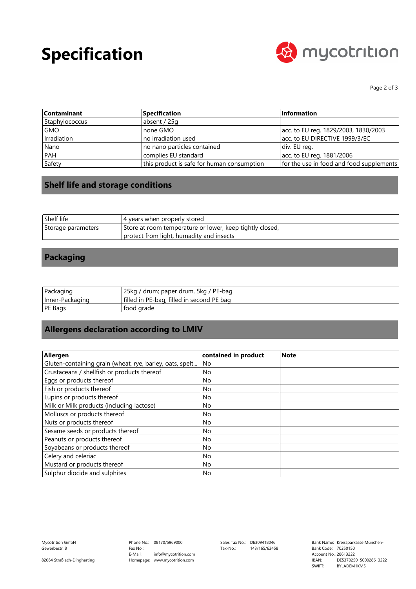# **Specification**



Page 2 of 3

| <b>Contaminant</b> | <b>Specification</b>                       | Information                              |
|--------------------|--------------------------------------------|------------------------------------------|
| Staphylococcus     | absent / 25g                               |                                          |
| <b>GMO</b>         | none GMO                                   | acc. to EU reg. 1829/2003, 1830/2003     |
| Irradiation        | no irradiation used                        | acc. to EU DIRECTIVE 1999/3/EC           |
| Nano               | no nano particles contained                | div. EU reg.                             |
| <b>PAH</b>         | complies EU standard                       | acc. to EU reg. 1881/2006                |
| Safety             | this product is safe for human consumption | for the use in food and food supplements |

### **Shelf life and storage conditions**

| Shelf life         | 4 years when properly stored                             |
|--------------------|----------------------------------------------------------|
| Storage parameters | Store at room temperature or lower, keep tightly closed, |
|                    | protect from light, humadity and insects                 |

### **Packaging**

| Packaging       | 25ka /<br>/ drum; paper drum, 5kg / PE-bag |
|-----------------|--------------------------------------------|
| Inner-Packaging | filled in PE-bag, filled in second PE bag  |
| <b>PE Bags</b>  | tood grade                                 |

### **Allergens declaration according to LMIV**

| Allergen                                                 | contained in product | Note |
|----------------------------------------------------------|----------------------|------|
| Gluten-containing grain (wheat, rye, barley, oats, spelt | No                   |      |
| Crustaceans / shellfish or products thereof              | No                   |      |
| Eggs or products thereof                                 | No.                  |      |
| Fish or products thereof                                 | No                   |      |
| Lupins or products thereof                               | No                   |      |
| Milk or Milk products (including lactose)                | No                   |      |
| Molluscs or products thereof                             | No                   |      |
| Nuts or products thereof                                 | <b>No</b>            |      |
| Sesame seeds or products thereof                         | No                   |      |
| Peanuts or products thereof                              | <b>No</b>            |      |
| Soyabeans or products thereof                            | No                   |      |
| Celery and celeriac                                      | N <sub>o</sub>       |      |
| Mustard or products thereof                              | <b>No</b>            |      |
| Sulphur diocide and sulphites                            | <b>No</b>            |      |

82064 Straßlach-Dingharting

Tax-No.: 143/165/63458

Bank Code: 70250150 SWIFT: IBAN: Bank Code: 70250150<br>Account No.: 28613222 DE53702501500028613222 BYLADEM1KMS